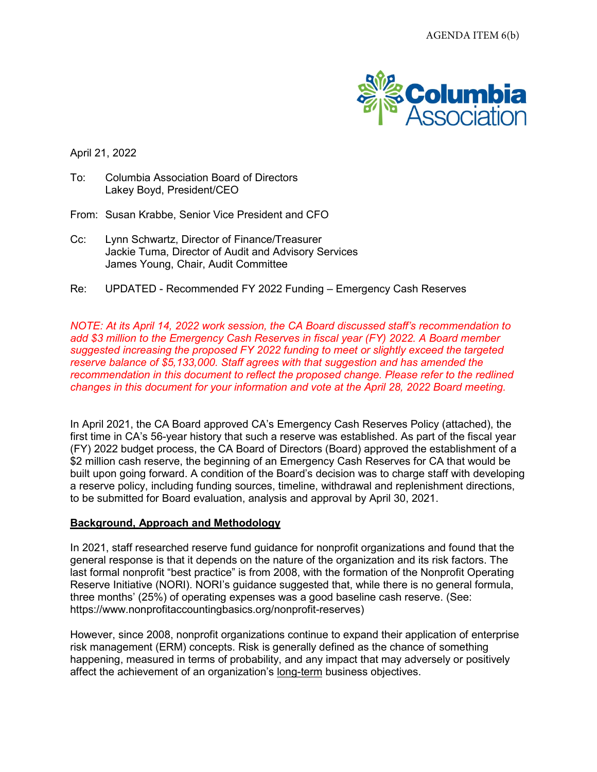

April 21, 2022

- To: Columbia Association Board of Directors Lakey Boyd, President/CEO
- From: Susan Krabbe, Senior Vice President and CFO
- Cc: Lynn Schwartz, Director of Finance/Treasurer Jackie Tuma, Director of Audit and Advisory Services James Young, Chair, Audit Committee
- Re: UPDATED Recommended FY 2022 Funding Emergency Cash Reserves

*NOTE: At its April 14, 2022 work session, the CA Board discussed staff's recommendation to add \$3 million to the Emergency Cash Reserves in fiscal year (FY) 2022. A Board member suggested increasing the proposed FY 2022 funding to meet or slightly exceed the targeted reserve balance of \$5,133,000. Staff agrees with that suggestion and has amended the recommendation in this document to reflect the proposed change. Please refer to the redlined changes in this document for your information and vote at the April 28, 2022 Board meeting.*

In April 2021, the CA Board approved CA's Emergency Cash Reserves Policy (attached), the first time in CA's 56-year history that such a reserve was established. As part of the fiscal year (FY) 2022 budget process, the CA Board of Directors (Board) approved the establishment of a \$2 million cash reserve, the beginning of an Emergency Cash Reserves for CA that would be built upon going forward. A condition of the Board's decision was to charge staff with developing a reserve policy, including funding sources, timeline, withdrawal and replenishment directions, to be submitted for Board evaluation, analysis and approval by April 30, 2021.

## **Background, Approach and Methodology**

In 2021, staff researched reserve fund guidance for nonprofit organizations and found that the general response is that it depends on the nature of the organization and its risk factors. The last formal nonprofit "best practice" is from 2008, with the formation of the Nonprofit Operating Reserve Initiative (NORI). NORI's guidance suggested that, while there is no general formula, three months' (25%) of operating expenses was a good baseline cash reserve. (See: https://www.nonprofitaccountingbasics.org/nonprofit-reserves)

However, since 2008, nonprofit organizations continue to expand their application of enterprise risk management (ERM) concepts. Risk is generally defined as the chance of something happening, measured in terms of probability, and any impact that may adversely or positively affect the achievement of an organization's long-term business objectives.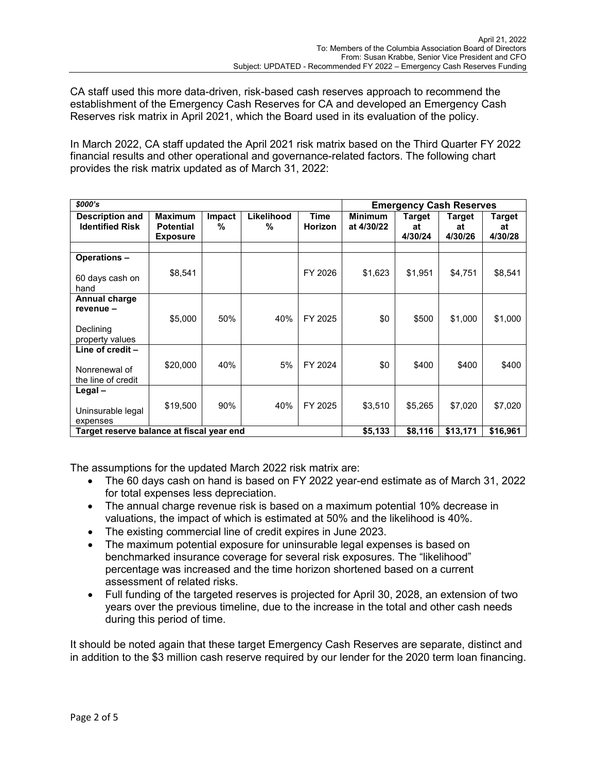CA staff used this more data-driven, risk-based cash reserves approach to recommend the establishment of the Emergency Cash Reserves for CA and developed an Emergency Cash Reserves risk matrix in April 2021, which the Board used in its evaluation of the policy.

In March 2022, CA staff updated the April 2021 risk matrix based on the Third Quarter FY 2022 financial results and other operational and governance-related factors. The following chart provides the risk matrix updated as of March 31, 2022:

| \$000's                                                                              |                                                       |             |                 |                               | <b>Emergency Cash Reserves</b> |                         |                                 |                         |
|--------------------------------------------------------------------------------------|-------------------------------------------------------|-------------|-----------------|-------------------------------|--------------------------------|-------------------------|---------------------------------|-------------------------|
| <b>Description and</b><br><b>Identified Risk</b>                                     | <b>Maximum</b><br><b>Potential</b><br><b>Exposure</b> | Impact<br>% | Likelihood<br>% | <b>Time</b><br><b>Horizon</b> | <b>Minimum</b><br>at 4/30/22   | Target<br>at<br>4/30/24 | Target<br>at<br>4/30/26         | Target<br>at<br>4/30/28 |
| Operations-<br>60 days cash on<br>hand                                               | \$8,541                                               |             |                 | FY 2026                       | \$1,623                        | \$1,951                 | \$4,751                         | \$8,541                 |
| Annual charge<br>revenue -<br>Declining<br>property values                           | \$5,000                                               | 50%         | 40%             | FY 2025                       | \$0                            | \$500                   | \$1,000                         | \$1,000                 |
| Line of credit -<br>Nonrenewal of<br>the line of credit                              | \$20,000                                              | 40%         | 5%              | FY 2024                       | \$0                            | \$400                   | \$400                           | \$400                   |
| Legal-<br>Uninsurable legal<br>expenses<br>Target reserve balance at fiscal year end | \$19,500                                              | 90%         | 40%             | FY 2025                       | \$3,510<br>\$5,133             | \$5,265<br>\$8,116      | \$7,020<br>$\overline{$}13,171$ | \$7,020<br>\$16,961     |

The assumptions for the updated March 2022 risk matrix are:

- The 60 days cash on hand is based on FY 2022 year-end estimate as of March 31, 2022 for total expenses less depreciation.
- The annual charge revenue risk is based on a maximum potential 10% decrease in valuations, the impact of which is estimated at 50% and the likelihood is 40%.
- The existing commercial line of credit expires in June 2023.
- The maximum potential exposure for uninsurable legal expenses is based on benchmarked insurance coverage for several risk exposures. The "likelihood" percentage was increased and the time horizon shortened based on a current assessment of related risks.
- Full funding of the targeted reserves is projected for April 30, 2028, an extension of two years over the previous timeline, due to the increase in the total and other cash needs during this period of time.

It should be noted again that these target Emergency Cash Reserves are separate, distinct and in addition to the \$3 million cash reserve required by our lender for the 2020 term loan financing.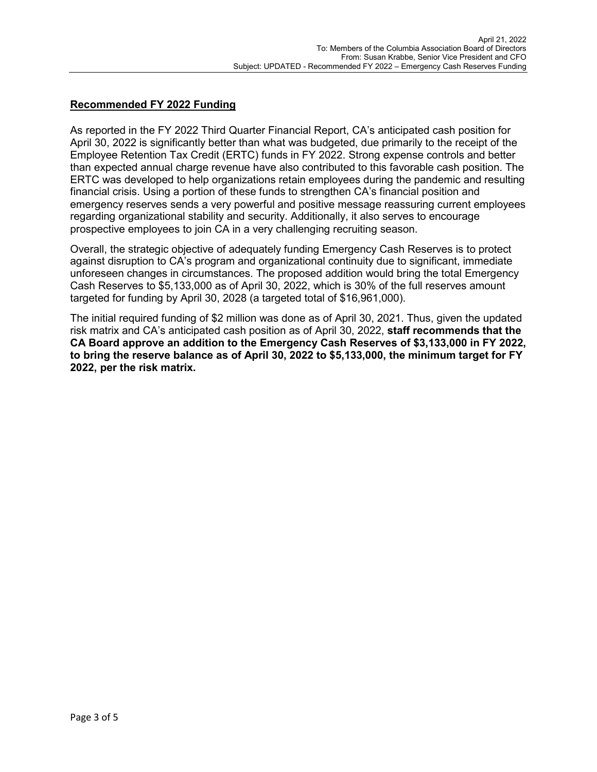# **Recommended FY 2022 Funding**

As reported in the FY 2022 Third Quarter Financial Report, CA's anticipated cash position for April 30, 2022 is significantly better than what was budgeted, due primarily to the receipt of the Employee Retention Tax Credit (ERTC) funds in FY 2022. Strong expense controls and better than expected annual charge revenue have also contributed to this favorable cash position. The ERTC was developed to help organizations retain employees during the pandemic and resulting financial crisis. Using a portion of these funds to strengthen CA's financial position and emergency reserves sends a very powerful and positive message reassuring current employees regarding organizational stability and security. Additionally, it also serves to encourage prospective employees to join CA in a very challenging recruiting season.

Overall, the strategic objective of adequately funding Emergency Cash Reserves is to protect against disruption to CA's program and organizational continuity due to significant, immediate unforeseen changes in circumstances. The proposed addition would bring the total Emergency Cash Reserves to \$5,133,000 as of April 30, 2022, which is 30% of the full reserves amount targeted for funding by April 30, 2028 (a targeted total of \$16,961,000).

The initial required funding of \$2 million was done as of April 30, 2021. Thus, given the updated risk matrix and CA's anticipated cash position as of April 30, 2022, **staff recommends that the CA Board approve an addition to the Emergency Cash Reserves of \$3,133,000 in FY 2022, to bring the reserve balance as of April 30, 2022 to \$5,133,000, the minimum target for FY 2022, per the risk matrix.**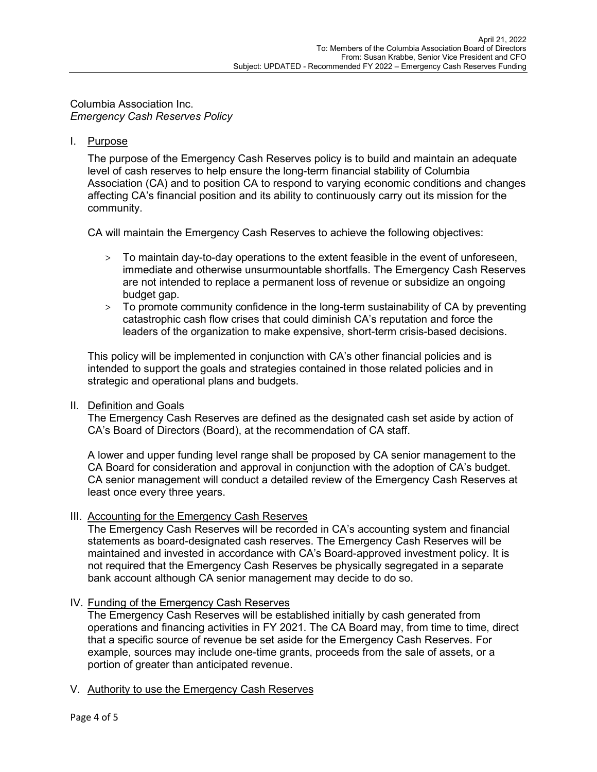Columbia Association Inc. *Emergency Cash Reserves Policy*

### I. Purpose

The purpose of the Emergency Cash Reserves policy is to build and maintain an adequate level of cash reserves to help ensure the long-term financial stability of Columbia Association (CA) and to position CA to respond to varying economic conditions and changes affecting CA's financial position and its ability to continuously carry out its mission for the community.

CA will maintain the Emergency Cash Reserves to achieve the following objectives:

- > To maintain day-to-day operations to the extent feasible in the event of unforeseen, immediate and otherwise unsurmountable shortfalls. The Emergency Cash Reserves are not intended to replace a permanent loss of revenue or subsidize an ongoing budget gap.
- > To promote community confidence in the long-term sustainability of CA by preventing catastrophic cash flow crises that could diminish CA's reputation and force the leaders of the organization to make expensive, short-term crisis-based decisions.

This policy will be implemented in conjunction with CA's other financial policies and is intended to support the goals and strategies contained in those related policies and in strategic and operational plans and budgets.

#### II. Definition and Goals

The Emergency Cash Reserves are defined as the designated cash set aside by action of CA's Board of Directors (Board), at the recommendation of CA staff.

A lower and upper funding level range shall be proposed by CA senior management to the CA Board for consideration and approval in conjunction with the adoption of CA's budget. CA senior management will conduct a detailed review of the Emergency Cash Reserves at least once every three years.

#### III. Accounting for the Emergency Cash Reserves

The Emergency Cash Reserves will be recorded in CA's accounting system and financial statements as board-designated cash reserves. The Emergency Cash Reserves will be maintained and invested in accordance with CA's Board-approved investment policy. It is not required that the Emergency Cash Reserves be physically segregated in a separate bank account although CA senior management may decide to do so.

## IV. Funding of the Emergency Cash Reserves

The Emergency Cash Reserves will be established initially by cash generated from operations and financing activities in FY 2021. The CA Board may, from time to time, direct that a specific source of revenue be set aside for the Emergency Cash Reserves. For example, sources may include one-time grants, proceeds from the sale of assets, or a portion of greater than anticipated revenue.

V. Authority to use the Emergency Cash Reserves